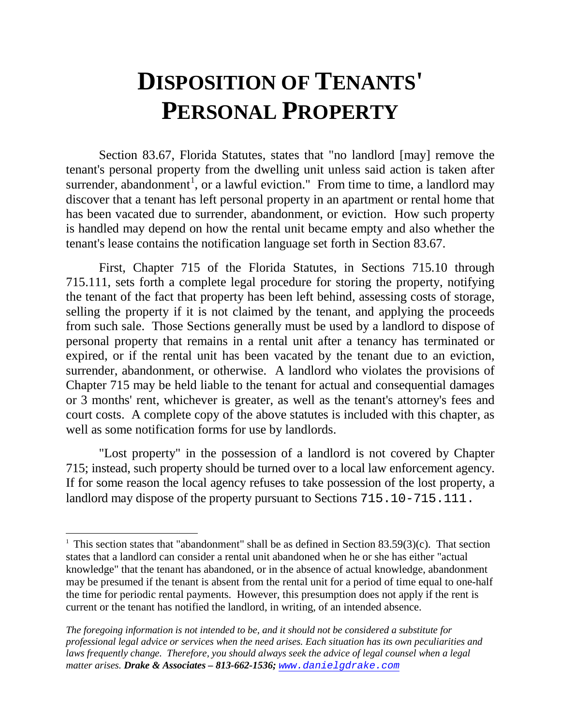# **DISPOSITION OF TENANTS' PERSONAL PROPERTY**

Section 83.67, Florida Statutes, states that "no landlord [may] remove the tenant's personal property from the dwelling unit unless said action is taken after surrender, abandonment<sup>[1](#page-0-0)</sup>, or a lawful eviction." From time to time, a landlord may discover that a tenant has left personal property in an apartment or rental home that has been vacated due to surrender, abandonment, or eviction. How such property is handled may depend on how the rental unit became empty and also whether the tenant's lease contains the notification language set forth in Section 83.67.

First, Chapter 715 of the Florida Statutes, in Sections 715.10 through 715.111, sets forth a complete legal procedure for storing the property, notifying the tenant of the fact that property has been left behind, assessing costs of storage, selling the property if it is not claimed by the tenant, and applying the proceeds from such sale. Those Sections generally must be used by a landlord to dispose of personal property that remains in a rental unit after a tenancy has terminated or expired, or if the rental unit has been vacated by the tenant due to an eviction, surrender, abandonment, or otherwise. A landlord who violates the provisions of Chapter 715 may be held liable to the tenant for actual and consequential damages or 3 months' rent, whichever is greater, as well as the tenant's attorney's fees and court costs. A complete copy of the above statutes is included with this chapter, as well as some notification forms for use by landlords.

"Lost property" in the possession of a landlord is not covered by Chapter 715; instead, such property should be turned over to a local law enforcement agency. If for some reason the local agency refuses to take possession of the lost property, a landlord may dispose of the property pursuant to Sections 715.10-715.111.

<span id="page-0-0"></span>Ĩ <sup>1</sup> This section states that "abandonment" shall be as defined in Section 83.59(3)(c). That section states that a landlord can consider a rental unit abandoned when he or she has either "actual knowledge" that the tenant has abandoned, or in the absence of actual knowledge, abandonment may be presumed if the tenant is absent from the rental unit for a period of time equal to one-half the time for periodic rental payments. However, this presumption does not apply if the rent is current or the tenant has notified the landlord, in writing, of an intended absence.

*The foregoing information is not intended to be, and it should not be considered a substitute for professional legal advice or services when the need arises. Each situation has its own peculiarities and*  laws frequently change. Therefore, you should always seek the advice of legal counsel when a legal *matter arises. Drake & Associates – 813-662-1536; [www.danielgdrake.com](http://www.danielgdrake.com/)*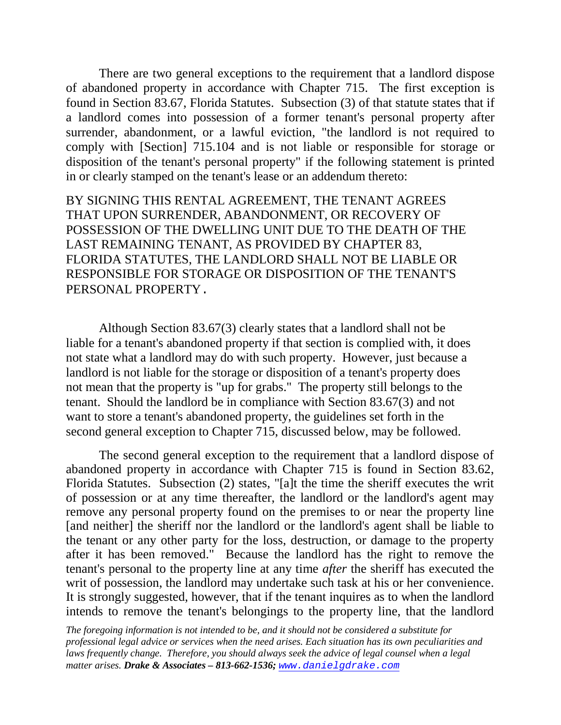There are two general exceptions to the requirement that a landlord dispose of abandoned property in accordance with Chapter 715. The first exception is found in Section 83.67, Florida Statutes. Subsection (3) of that statute states that if a landlord comes into possession of a former tenant's personal property after surrender, abandonment, or a lawful eviction, "the landlord is not required to comply with [Section] 715.104 and is not liable or responsible for storage or disposition of the tenant's personal property" if the following statement is printed in or clearly stamped on the tenant's lease or an addendum thereto:

BY SIGNING THIS RENTAL AGREEMENT, THE TENANT AGREES THAT UPON SURRENDER, ABANDONMENT, OR RECOVERY OF POSSESSION OF THE DWELLING UNIT DUE TO THE DEATH OF THE LAST REMAINING TENANT, AS PROVIDED BY CHAPTER 83, FLORIDA STATUTES, THE LANDLORD SHALL NOT BE LIABLE OR RESPONSIBLE FOR STORAGE OR DISPOSITION OF THE TENANT'S PERSONAL PROPERTY.

Although Section 83.67(3) clearly states that a landlord shall not be liable for a tenant's abandoned property if that section is complied with, it does not state what a landlord may do with such property. However, just because a landlord is not liable for the storage or disposition of a tenant's property does not mean that the property is "up for grabs." The property still belongs to the tenant. Should the landlord be in compliance with Section 83.67(3) and not want to store a tenant's abandoned property, the guidelines set forth in the second general exception to Chapter 715, discussed below, may be followed.

The second general exception to the requirement that a landlord dispose of abandoned property in accordance with Chapter 715 is found in Section 83.62, Florida Statutes. Subsection (2) states, "[a]t the time the sheriff executes the writ of possession or at any time thereafter, the landlord or the landlord's agent may remove any personal property found on the premises to or near the property line [and neither] the sheriff nor the landlord or the landlord's agent shall be liable to the tenant or any other party for the loss, destruction, or damage to the property after it has been removed." Because the landlord has the right to remove the tenant's personal to the property line at any time *after* the sheriff has executed the writ of possession, the landlord may undertake such task at his or her convenience. It is strongly suggested, however, that if the tenant inquires as to when the landlord intends to remove the tenant's belongings to the property line, that the landlord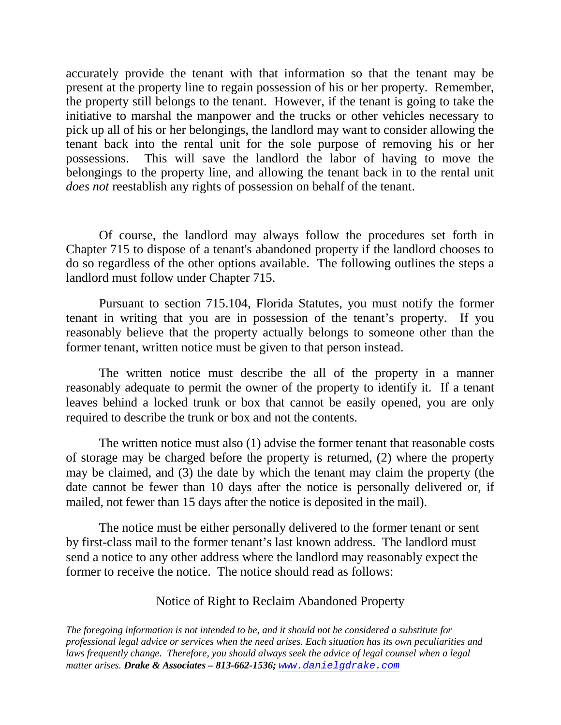accurately provide the tenant with that information so that the tenant may be present at the property line to regain possession of his or her property. Remember, the property still belongs to the tenant. However, if the tenant is going to take the initiative to marshal the manpower and the trucks or other vehicles necessary to pick up all of his or her belongings, the landlord may want to consider allowing the tenant back into the rental unit for the sole purpose of removing his or her possessions. This will save the landlord the labor of having to move the belongings to the property line, and allowing the tenant back in to the rental unit *does not* reestablish any rights of possession on behalf of the tenant.

Of course, the landlord may always follow the procedures set forth in Chapter 715 to dispose of a tenant's abandoned property if the landlord chooses to do so regardless of the other options available. The following outlines the steps a landlord must follow under Chapter 715.

Pursuant to section 715.104, Florida Statutes, you must notify the former tenant in writing that you are in possession of the tenant's property. If you reasonably believe that the property actually belongs to someone other than the former tenant, written notice must be given to that person instead.

The written notice must describe the all of the property in a manner reasonably adequate to permit the owner of the property to identify it. If a tenant leaves behind a locked trunk or box that cannot be easily opened, you are only required to describe the trunk or box and not the contents.

The written notice must also (1) advise the former tenant that reasonable costs of storage may be charged before the property is returned, (2) where the property may be claimed, and (3) the date by which the tenant may claim the property (the date cannot be fewer than 10 days after the notice is personally delivered or, if mailed, not fewer than 15 days after the notice is deposited in the mail).

The notice must be either personally delivered to the former tenant or sent by first-class mail to the former tenant's last known address. The landlord must send a notice to any other address where the landlord may reasonably expect the former to receive the notice. The notice should read as follows:

## Notice of Right to Reclaim Abandoned Property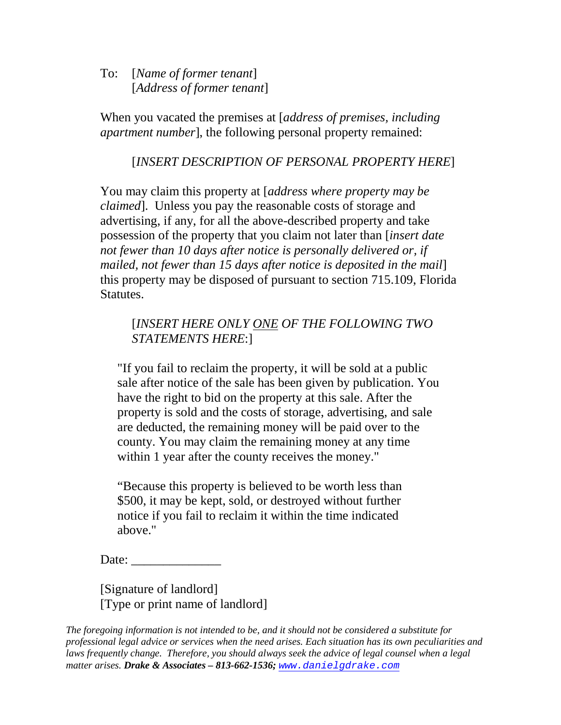To: [*Name of former tenant*] [*Address of former tenant*]

When you vacated the premises at [*address of premises, including apartment number*], the following personal property remained:

# [*INSERT DESCRIPTION OF PERSONAL PROPERTY HERE*]

You may claim this property at [*address where property may be claimed*]. Unless you pay the reasonable costs of storage and advertising, if any, for all the above-described property and take possession of the property that you claim not later than [*insert date not fewer than 10 days after notice is personally delivered or, if mailed, not fewer than 15 days after notice is deposited in the mail*] this property may be disposed of pursuant to section 715.109, Florida Statutes.

# [*INSERT HERE ONLY ONE OF THE FOLLOWING TWO STATEMENTS HERE*:]

"If you fail to reclaim the property, it will be sold at a public sale after notice of the sale has been given by publication. You have the right to bid on the property at this sale. After the property is sold and the costs of storage, advertising, and sale are deducted, the remaining money will be paid over to the county. You may claim the remaining money at any time within 1 year after the county receives the money."

"Because this property is believed to be worth less than \$500, it may be kept, sold, or destroyed without further notice if you fail to reclaim it within the time indicated above."

Date:  $\qquad \qquad$ 

[Signature of landlord] [Type or print name of landlord]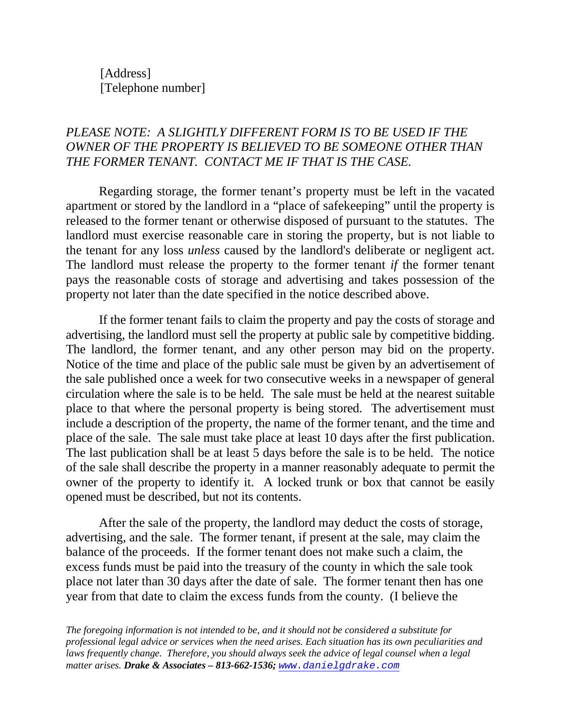[Address] [Telephone number]

# *PLEASE NOTE: A SLIGHTLY DIFFERENT FORM IS TO BE USED IF THE OWNER OF THE PROPERTY IS BELIEVED TO BE SOMEONE OTHER THAN THE FORMER TENANT. CONTACT ME IF THAT IS THE CASE.*

Regarding storage, the former tenant's property must be left in the vacated apartment or stored by the landlord in a "place of safekeeping" until the property is released to the former tenant or otherwise disposed of pursuant to the statutes. The landlord must exercise reasonable care in storing the property, but is not liable to the tenant for any loss *unless* caused by the landlord's deliberate or negligent act. The landlord must release the property to the former tenant *if* the former tenant pays the reasonable costs of storage and advertising and takes possession of the property not later than the date specified in the notice described above.

If the former tenant fails to claim the property and pay the costs of storage and advertising, the landlord must sell the property at public sale by competitive bidding. The landlord, the former tenant, and any other person may bid on the property. Notice of the time and place of the public sale must be given by an advertisement of the sale published once a week for two consecutive weeks in a newspaper of general circulation where the sale is to be held. The sale must be held at the nearest suitable place to that where the personal property is being stored. The advertisement must include a description of the property, the name of the former tenant, and the time and place of the sale. The sale must take place at least 10 days after the first publication. The last publication shall be at least 5 days before the sale is to be held. The notice of the sale shall describe the property in a manner reasonably adequate to permit the owner of the property to identify it. A locked trunk or box that cannot be easily opened must be described, but not its contents.

After the sale of the property, the landlord may deduct the costs of storage, advertising, and the sale. The former tenant, if present at the sale, may claim the balance of the proceeds. If the former tenant does not make such a claim, the excess funds must be paid into the treasury of the county in which the sale took place not later than 30 days after the date of sale. The former tenant then has one year from that date to claim the excess funds from the county. (I believe the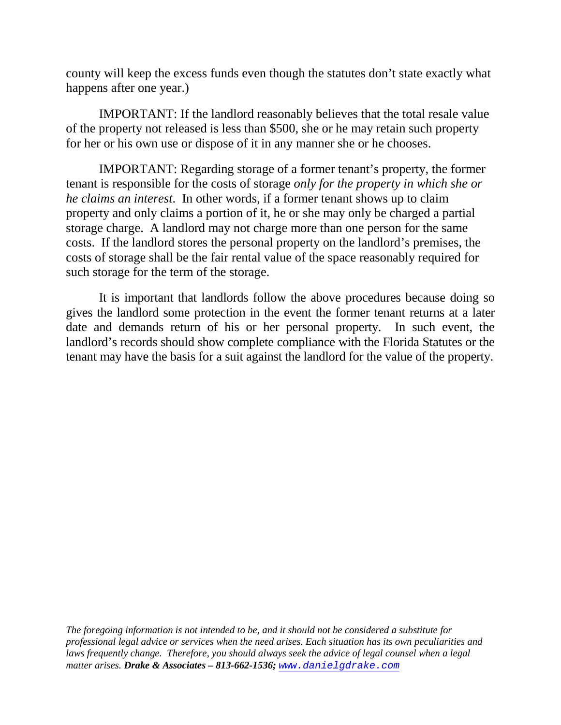county will keep the excess funds even though the statutes don't state exactly what happens after one year.)

IMPORTANT: If the landlord reasonably believes that the total resale value of the property not released is less than \$500, she or he may retain such property for her or his own use or dispose of it in any manner she or he chooses.

IMPORTANT: Regarding storage of a former tenant's property, the former tenant is responsible for the costs of storage *only for the property in which she or he claims an interest*. In other words, if a former tenant shows up to claim property and only claims a portion of it, he or she may only be charged a partial storage charge. A landlord may not charge more than one person for the same costs. If the landlord stores the personal property on the landlord's premises, the costs of storage shall be the fair rental value of the space reasonably required for such storage for the term of the storage.

It is important that landlords follow the above procedures because doing so gives the landlord some protection in the event the former tenant returns at a later date and demands return of his or her personal property. In such event, the landlord's records should show complete compliance with the Florida Statutes or the tenant may have the basis for a suit against the landlord for the value of the property.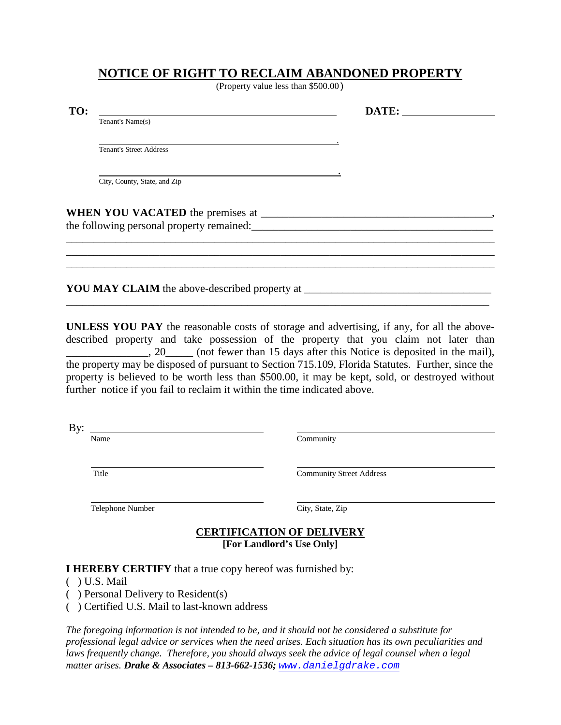## **NOTICE OF RIGHT TO RECLAIM ABANDONED PROPERTY**

(Property value less than \$500.00)

| TO: |                                | DATE: |  |
|-----|--------------------------------|-------|--|
|     | Tenant's Name(s)               |       |  |
|     |                                |       |  |
|     | <b>Tenant's Street Address</b> |       |  |
|     |                                |       |  |
|     | City, County, State, and Zip   |       |  |
|     |                                |       |  |
|     |                                |       |  |
|     |                                |       |  |
|     |                                |       |  |
|     |                                |       |  |
|     |                                |       |  |

**UNLESS YOU PAY** the reasonable costs of storage and advertising, if any, for all the abovedescribed property and take possession of the property that you claim not later than \_\_\_\_\_\_\_\_\_\_\_\_\_\_\_, 20\_\_\_\_\_ (not fewer than 15 days after this Notice is deposited in the mail), the property may be disposed of pursuant to Section 715.109, Florida Statutes. Further, since the property is believed to be worth less than \$500.00, it may be kept, sold, or destroyed without further notice if you fail to reclaim it within the time indicated above.

| Bv    |                                 |
|-------|---------------------------------|
| Name  | Community                       |
|       |                                 |
|       |                                 |
| Title | <b>Community Street Address</b> |

Telephone Number City, State, Zip

#### **[For Landlord's Use Only] CERTIFICATION OF DELIVERY**

#### **I HEREBY CERTIFY** that a true copy hereof was furnished by:

- ( ) U.S. Mail
- ( ) Personal Delivery to Resident(s)
- ( ) Certified U.S. Mail to last-known address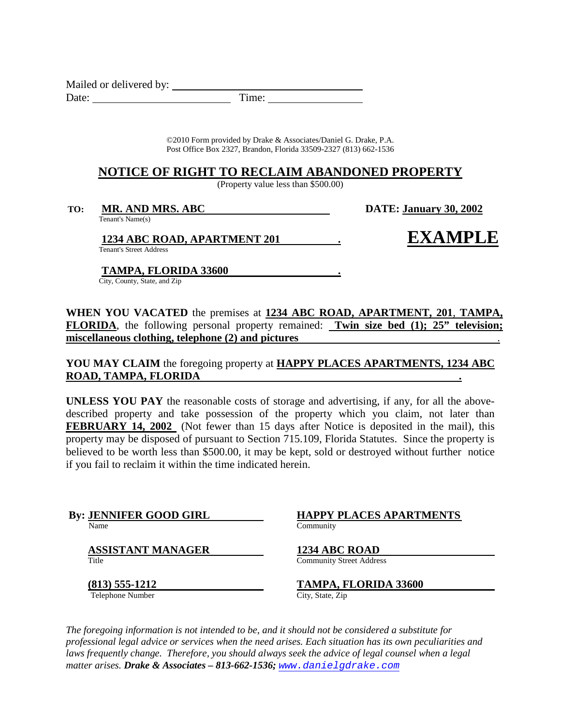Mailed or delivered by: Date: Time:

> ©2010 Form provided by Drake & Associates/Daniel G. Drake, P.A. Post Office Box 2327, Brandon, Florida 33509-2327 (813) 662-1536

#### **NOTICE OF RIGHT TO RECLAIM ABANDONED PROPERTY**

(Property value less than \$500.00)

**TO: MR. AND MRS. ABC** Tenant's Name(s)

**January 30, 2002**

**1234 ABC ROAD, APARTMENT 201 .**

**EXAMPLE**

Tenant's Street Address

**TAMPA, FLORIDA 33600 .**

City, County, State, and Zip

**WHEN YOU VACATED** the premises at **1234 ABC ROAD, APARTMENT, 201**, **TAMPA, FLORIDA**, the following personal property remained: **Twin size bed (1); 25" television; miscellaneous clothing, telephone (2) and pictures** .

**YOU MAY CLAIM** the foregoing property at **HAPPY PLACES APARTMENTS, 1234 ABC ROAD, TAMPA, FLORIDA .**

**UNLESS YOU PAY** the reasonable costs of storage and advertising, if any, for all the abovedescribed property and take possession of the property which you claim, not later than **FEBRUARY 14, 2002** (Not fewer than 15 days after Notice is deposited in the mail), this property may be disposed of pursuant to Section 715.109, Florida Statutes. Since the property is believed to be worth less than \$500.00, it may be kept, sold or destroyed without further notice if you fail to reclaim it within the time indicated herein.

**By: JENNIFER GOOD GIRL BY: HAPPY**<br>
Name Community

**ASSISTANT MANAGER** 1234 ABC ROAD<br>
Title Community Street Address

**(813) 555-1212** Telephone Number City, State, Zip

**HAPPY PLACES APARTMENTS**

**TAMPA, FLORIDA 33600**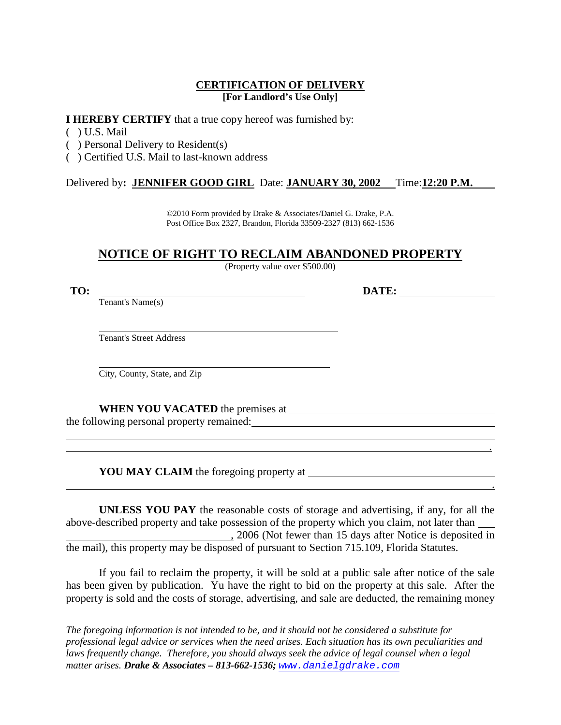#### **[For Landlord's Use Only] CERTIFICATION OF DELIVERY**

**I HEREBY CERTIFY** that a true copy hereof was furnished by:

- ( ) U.S. Mail
- ( ) Personal Delivery to Resident(s)
- ( ) Certified U.S. Mail to last-known address

Delivered by**: JENNIFER GOOD GIRL** Date: **JANUARY 30, 2002** Time:**12:20 P.M.**

©2010 Form provided by Drake & Associates/Daniel G. Drake, P.A. Post Office Box 2327, Brandon, Florida 33509-2327 (813) 662-1536

# **NOTICE OF RIGHT TO RECLAIM ABANDONED PROPERTY**

(Property value over \$500.00)

**TO: DATE:**

Tenant's Name(s)

Tenant's Street Address

City, County, State, and Zip

**WHEN YOU VACATED** the premises at the following personal property remained:

**YOU MAY CLAIM** the foregoing property at

**UNLESS YOU PAY** the reasonable costs of storage and advertising, if any, for all the above-described property and take possession of the property which you claim, not later than , 2006 (Not fewer than 15 days after Notice is deposited in the mail), this property may be disposed of pursuant to Section 715.109, Florida Statutes.

.

.

If you fail to reclaim the property, it will be sold at a public sale after notice of the sale has been given by publication. Yu have the right to bid on the property at this sale. After the property is sold and the costs of storage, advertising, and sale are deducted, the remaining money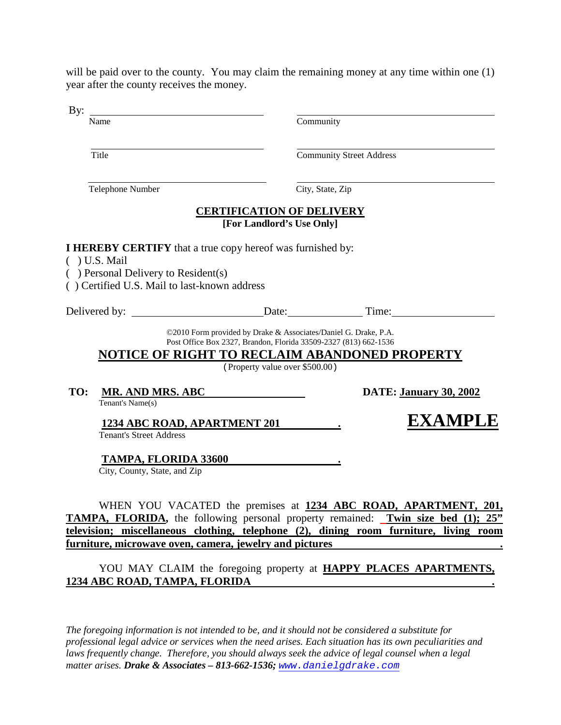will be paid over to the county. You may claim the remaining money at any time within one (1) year after the county receives the money.

 $D...$ 

| Dy.                                                                                                                                                                         |                                                                                                                                                                                                                        |                                                                                                                                                                                                                                                      |  |
|-----------------------------------------------------------------------------------------------------------------------------------------------------------------------------|------------------------------------------------------------------------------------------------------------------------------------------------------------------------------------------------------------------------|------------------------------------------------------------------------------------------------------------------------------------------------------------------------------------------------------------------------------------------------------|--|
| Name                                                                                                                                                                        | Community                                                                                                                                                                                                              |                                                                                                                                                                                                                                                      |  |
| Title                                                                                                                                                                       |                                                                                                                                                                                                                        | <b>Community Street Address</b>                                                                                                                                                                                                                      |  |
| Telephone Number                                                                                                                                                            | City, State, Zip                                                                                                                                                                                                       |                                                                                                                                                                                                                                                      |  |
|                                                                                                                                                                             | <b>CERTIFICATION OF DELIVERY</b><br>[For Landlord's Use Only]                                                                                                                                                          |                                                                                                                                                                                                                                                      |  |
| <b>I HEREBY CERTIFY</b> that a true copy hereof was furnished by:<br>$( )$ U.S. Mail<br>() Personal Delivery to Resident(s)<br>() Certified U.S. Mail to last-known address |                                                                                                                                                                                                                        |                                                                                                                                                                                                                                                      |  |
|                                                                                                                                                                             |                                                                                                                                                                                                                        |                                                                                                                                                                                                                                                      |  |
|                                                                                                                                                                             | ©2010 Form provided by Drake & Associates/Daniel G. Drake, P.A.<br>Post Office Box 2327, Brandon, Florida 33509-2327 (813) 662-1536<br>NOTICE OF RIGHT TO RECLAIM ABANDONED PROPERTY<br>(Property value over \$500.00) |                                                                                                                                                                                                                                                      |  |
| TO:<br>MR. AND MRS. ABC<br>Tenant's Name(s)                                                                                                                                 |                                                                                                                                                                                                                        | <b>DATE: January 30, 2002</b>                                                                                                                                                                                                                        |  |
| <b>Tenant's Street Address</b>                                                                                                                                              | 1234 ABC ROAD, APARTMENT 201                                                                                                                                                                                           | <b>EXAMPLE</b>                                                                                                                                                                                                                                       |  |
| TAMPA, FLORIDA 33600<br>City, County, State, and Zip                                                                                                                        |                                                                                                                                                                                                                        |                                                                                                                                                                                                                                                      |  |
|                                                                                                                                                                             |                                                                                                                                                                                                                        | WHEN YOU VACATED the premises at 1234 ABC ROAD, APARTMENT, 201,<br><b>TAMPA, FLORIDA</b> , the following personal property remained: Twin size bed (1); 25"<br>television; miscellaneous clothing, telephone (2), dining room furniture, living room |  |

**furniture, microwave oven, camera, jewelry and pictures .**

YOU MAY CLAIM the foregoing property at **HAPPY PLACES APARTMENTS, 1234 ABC ROAD, TAMPA, FLORIDA .**